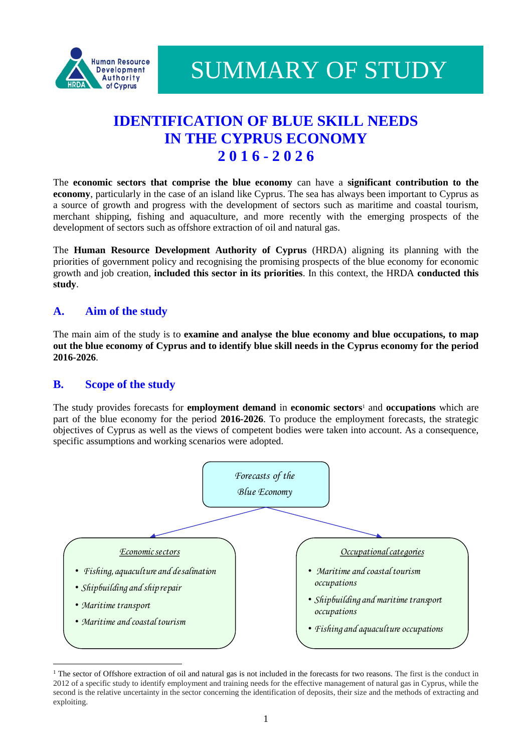

SUMMARY OF STUDY

# **IDENTIFICATION OF BLUE SKILL NEEDS IN THE CYPRUS ECONOMY 2 0 1 6 - 2 0 2 6**

The **economic sectors that comprise the blue economy** can have a **significant contribution to the economy**, particularly in the case of an island like Cyprus. The sea has always been important to Cyprus as a source of growth and progress with the development of sectors such as maritime and coastal tourism, merchant shipping, fishing and aquaculture, and more recently with the emerging prospects of the development of sectors such as offshore extraction of oil and natural gas.

The **Human Resource Development Authority of Cyprus** (HRDA) aligning its planning with the priorities of government policy and recognising the promising prospects of the blue economy for economic growth and job creation, **included this sector in its priorities**. In this context, the HRDA **conducted this study**.

# **A. Aim of the study**

The main aim of the study is to **examine and analyse the blue economy and blue occupations, to map out the blue economy of Cyprus and to identify blue skill needs in the Cyprus economy for the period 2016-2026**.

# **B. Scope of the study**

The study provides forecasts for **employment demand** in **economic sectors**<sup>1</sup> and **occupations** which are part of the blue economy for the period **2016-2026**. To produce the employment forecasts, the strategic objectives of Cyprus as well as the views of competent bodies were taken into account. As a consequence, specific assumptions and working scenarios were adopted.



<sup>&</sup>lt;sup>1</sup> The sector of Offshore extraction of oil and natural gas is not included in the forecasts for two reasons. The first is the conduct in 2012 of a specific study to identify employment and training needs for the effective management of natural gas in Cyprus, while the second is the relative uncertainty in the sector concerning the identification of deposits, their size and the methods of extracting and exploiting.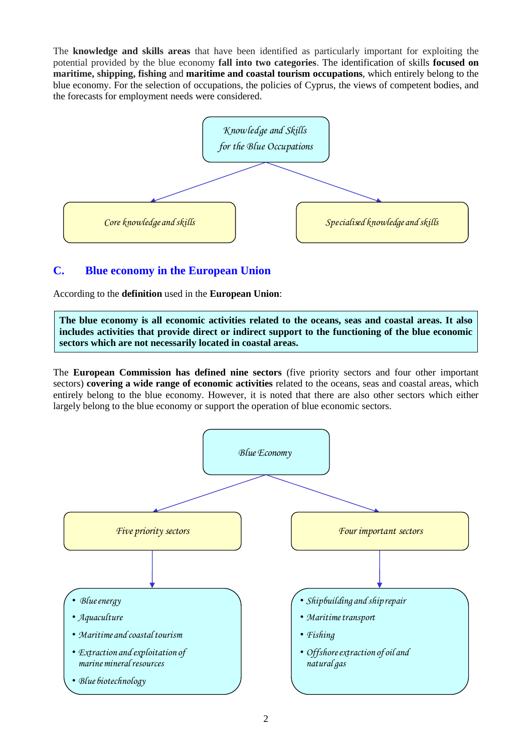The **knowledge and skills areas** that have been identified as particularly important for exploiting the potential provided by the blue economy **fall into two categories**. The identification of skills **focused on maritime, shipping, fishing** and **maritime and coastal tourism occupations**, which entirely belong to the blue economy. For the selection of occupations, the policies of Cyprus, the views of competent bodies, and the forecasts for employment needs were considered.



# **C. Blue economy in the European Union**

According to the **definition** used in the **European Union**:

**The blue economy is all economic activities related to the oceans, seas and coastal areas. It also includes activities that provide direct or indirect support to the functioning of the blue economic sectors which are not necessarily located in coastal areas.** 

The **European Commission has defined nine sectors** (five priority sectors and four other important sectors) **covering a wide range of economic activities** related to the oceans, seas and coastal areas, which entirely belong to the blue economy. However, it is noted that there are also other sectors which either largely belong to the blue economy or support the operation of blue economic sectors.

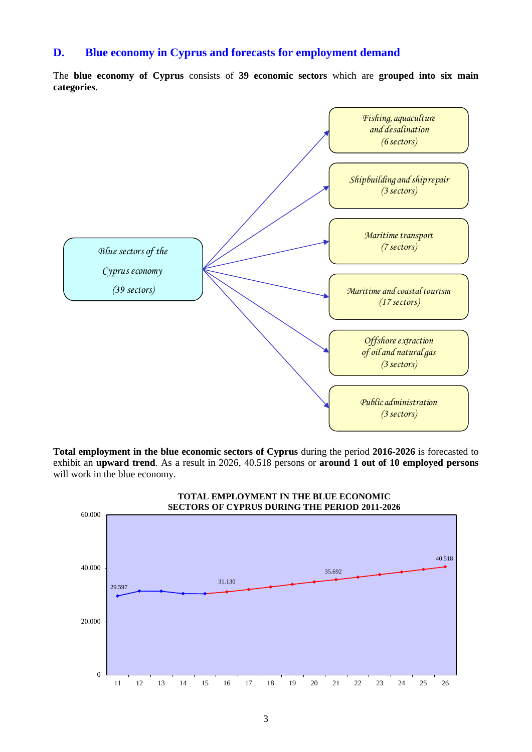### **D. Blue economy in Cyprus and forecasts for employment demand**

The **blue economy of Cyprus** consists of **39 economic sectors** which are **grouped into six main categories**.



**Total employment in the blue economic sectors of Cyprus** during the period **2016-2026** is forecasted to exhibit an **upward trend**. As a result in 2026, 40.518 persons or **around 1 out of 10 employed persons** will work in the blue economy.

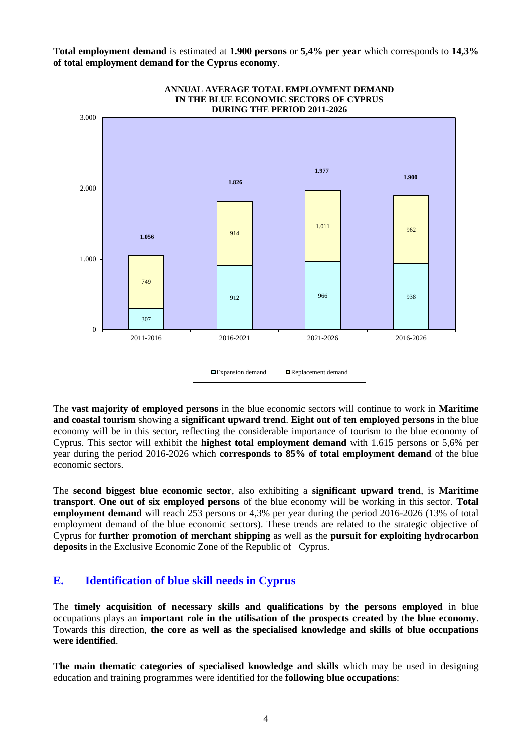**Total employment demand** is estimated at **1.900 persons** or **5,4% per year** which corresponds to **14,3% of total employment demand for the Cyprus economy**.



The **vast majority of employed persons** in the blue economic sectors will continue to work in **Maritime and coastal tourism** showing a **significant upward trend**. **Eight out of ten employed persons** in the blue economy will be in this sector, reflecting the considerable importance of tourism to the blue economy of Cyprus. This sector will exhibit the **highest total employment demand** with 1.615 persons or 5,6% per year during the period 2016-2026 which **corresponds to 85% of total employment demand** of the blue economic sectors.

The **second biggest blue economic sector**, also exhibiting a **significant upward trend**, is **Maritime transport**. **One out of six employed persons** of the blue economy will be working in this sector. **Total employment demand** will reach 253 persons or 4,3% per year during the period 2016-2026 (13% of total employment demand of the blue economic sectors). These trends are related to the strategic objective of Cyprus for **further promotion of merchant shipping** as well as the **pursuit for exploiting hydrocarbon deposits** in the Exclusive Economic Zone of the Republic of Cyprus.

# **E. Identification of blue skill needs in Cyprus**

The **timely acquisition of necessary skills and qualifications by the persons employed** in blue occupations plays an **important role in the utilisation of the prospects created by the blue economy**. Towards this direction, **the core as well as the specialised knowledge and skills of blue occupations were identified**.

**The main thematic categories of specialised knowledge and skills** which may be used in designing education and training programmes were identified for the **following blue occupations**: